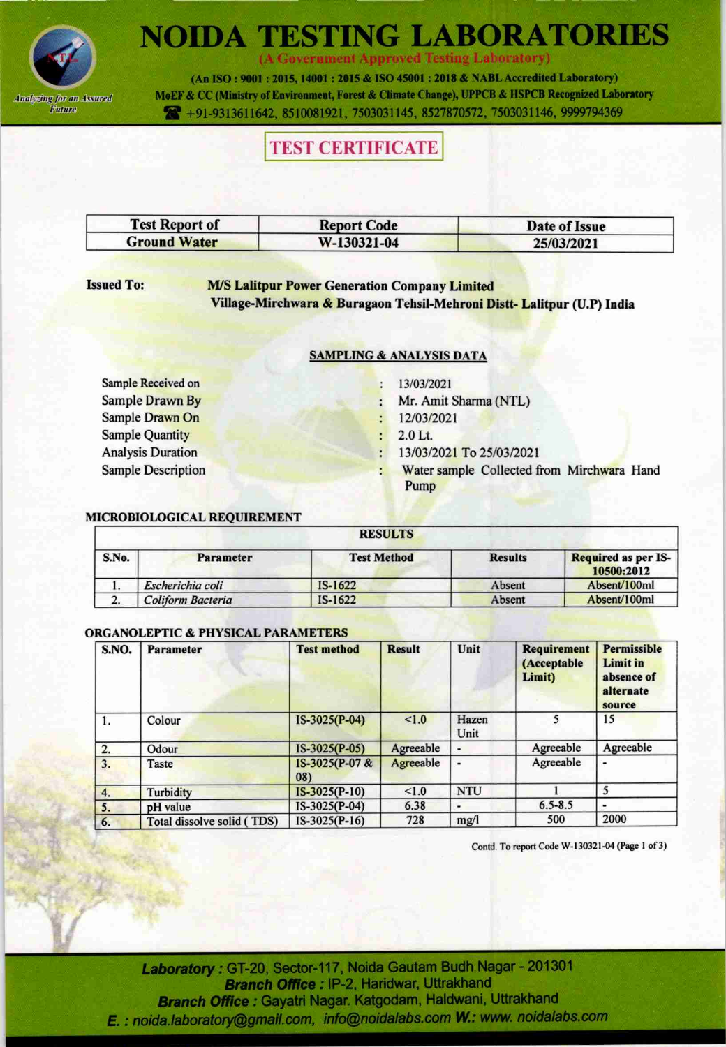

(A Government Approved Testing Laboratory)

(An ISO: 9001: 2015, 14001: 2015 & ISO 45001: 2018 & NABL Accredited Laboratory) MoEF & CC (Ministry of Environment, Forest & Climate Change), UPPCB & HSPCB Recognized Laboratory

491-9313611642, 8510081921, 7503031145, 8527870572, 7503031146, 9999794369

### **TEST CERTIFICATE**

| <b>Test Report of</b> | <b>Report Code</b> | Date of Issue |
|-----------------------|--------------------|---------------|
| <b>Ground Water</b>   | W-130321-04        | 25/03/2021    |

### **Issued To:**

**M/S Lalitpur Power Generation Company Limited** Village-Mirchwara & Buragaon Tehsil-Mehroni Distt-Lalitpur (U.P) India

### **SAMPLING & ANALYSIS DATA**

Sample Received on **Sample Drawn By** Sample Drawn On **Sample Quantity Analysis Duration Sample Description** 

- $: 13/03/2021$
- Mr. Amit Sharma (NTL) ÷
- 12/03/2021  $\ddot{\cdot}$
- $: 2.0$  Lt.
- 13/03/2021 To 25/03/2021
- Water sample Collected from Mirchwara Hand Pump

### MICROBIOLOGICAL REQUIREMENT

|       | <b>RESULTS</b>    |                    |                |                                   |  |  |  |
|-------|-------------------|--------------------|----------------|-----------------------------------|--|--|--|
| S.No. | <b>Parameter</b>  | <b>Test Method</b> | <b>Results</b> | Required as per IS-<br>10500:2012 |  |  |  |
|       | Escherichia coli  | $IS-1622$          | Absent         | Absent/100ml                      |  |  |  |
|       | Coliform Bacteria | IS-1622            | Absent         | Absent/100ml                      |  |  |  |

#### **ORGANOLEPTIC & PHYSICAL PARAMETERS**

| S.NO.            | <b>Parameter</b>           | <b>Test method</b>    | <b>Result</b> | Unit          | Requirement<br>(Acceptable<br>Limit) | <b>Permissible</b><br>Limit in<br>absence of<br>alternate<br>source |
|------------------|----------------------------|-----------------------|---------------|---------------|--------------------------------------|---------------------------------------------------------------------|
| I.               | Colour                     | $IS-3025(P-04)$       | 1.0           | Hazen<br>Unit | 5                                    | 15                                                                  |
| $\overline{2}$ . | Odour                      | $IS-3025(P-05)$       | Agreeable     |               | Agreeable                            | Agreeable                                                           |
| 3.               | Taste                      | IS-3025(P-07 &<br>08) | Agreeable     |               | Agreeable                            |                                                                     |
| 4.               | Turbidity                  | $IS-3025(P-10)$       | < 1.0         | <b>NTU</b>    |                                      | 5                                                                   |
| 5.               | pH value                   | IS-3025(P-04)         | 6.38          |               | $6.5 - 8.5$                          |                                                                     |
| 6.               | Total dissolve solid (TDS) | $IS-3025(P-16)$       | 728           | mg/l          | 500                                  | 2000                                                                |

Contd. To report Code W-130321-04 (Page 1 of 3)

Laboratory: GT-20, Sector-117, Noida Gautam Budh Nagar - 201301 Branch Office : IP-2, Haridwar, Uttrakhand Branch Office : Gayatri Nagar. Katgodam, Haldwani, Uttrakhand E. : noida.laboratory@gmail.com, info@noidalabs.com W.: www. noidalabs.com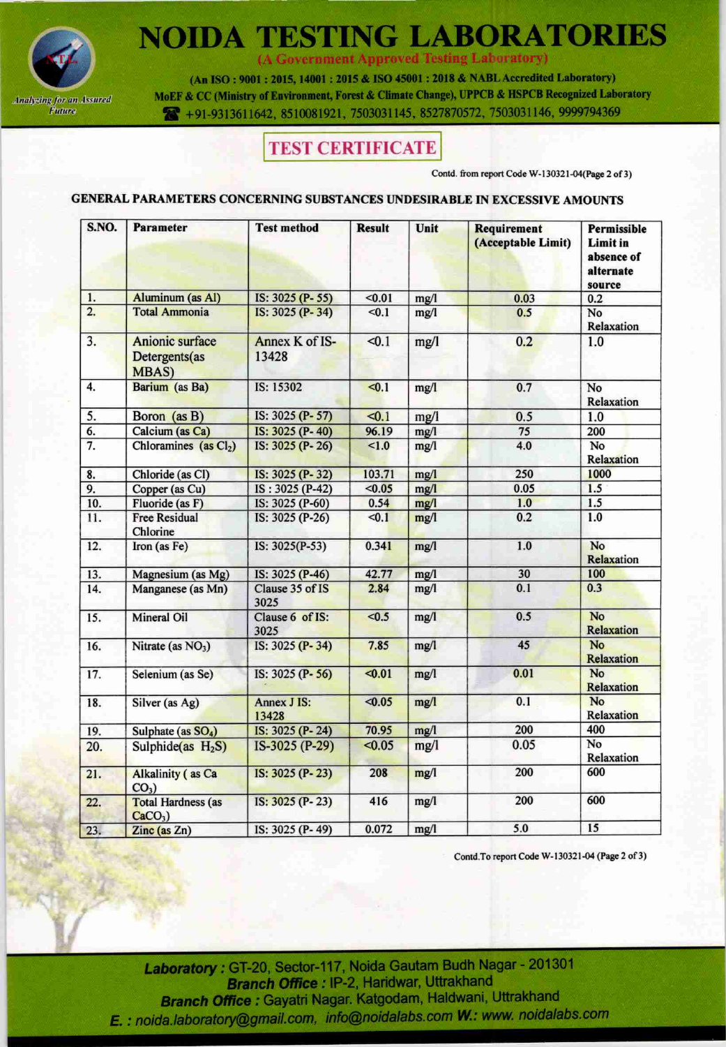

(A Government Approved Testing Laboratory)

(An ISO: 9001: 2015, 14001: 2015 & ISO 45001: 2018 & NABL Accredited Laboratory) MoEF & CC (Ministry of Environment, Forest & Climate Change), UPPCB & HSPCB Recognized Laboratory 491-9313611642, 8510081921, 7503031145, 8527870572, 7503031146, 9999794369

## **TEST CERTIFICATE**

Contd. from report Code W-130321-04(Page 2 of 3)

### GENERAL PARAMETERS CONCERNING SUBSTANCES UNDESIRABLE IN EXCESSIVE AMOUNTS

| S.NO.             | <b>Parameter</b>                                  | <b>Test method</b>          | <b>Result</b> | Unit | Requirement<br>(Acceptable Limit) | Permissible<br><b>Limit in</b><br>absence of<br>alternate<br>source |
|-------------------|---------------------------------------------------|-----------------------------|---------------|------|-----------------------------------|---------------------------------------------------------------------|
| 1.                | Aluminum (as Al)                                  | IS: 3025 (P-55)             | < 0.01        | mg/l | 0.03                              | 0.2                                                                 |
| 2.                | <b>Total Ammonia</b>                              | IS: 3025 (P-34)             | < 0.1         | mg/l | 0.5                               | No<br>Relaxation                                                    |
| 3.                | Anionic surface<br>Detergents(as<br><b>MBAS</b> ) | Annex K of IS-<br>13428     | < 0.1         | mg/l | 0.2                               | 1.0                                                                 |
| 4.                | Barium (as Ba)                                    | IS: 15302                   | $\leq 0.1$    | mg/l | 0.7                               | No<br>Relaxation                                                    |
| 5.                | Boron (as B)                                      | IS: 3025 (P-57)             | < 0.1         | mg/1 | 0.5                               | 1.0                                                                 |
| 6.                | Calcium (as Ca)                                   | IS: 3025 (P-40)             | 96.19         | mg/l | $\overline{75}$                   | 200                                                                 |
| $\overline{7}$ .  | Chloramines (as Cl <sub>2</sub> )                 | IS: 3025 (P-26)             | 1.0           | mg/l | 4.0                               | No<br>Relaxation                                                    |
| 8.                | Chloride (as Cl)                                  | IS: 3025 (P-32)             | 103.71        | mg/l | 250                               | 1000                                                                |
| 9.                | Copper (as Cu)                                    | IS: 3025 (P-42)             | < 0.05        | mg/l | 0.05                              | 1.5                                                                 |
| 10.               | Fluoride (as F)                                   | IS: 3025 (P-60)             | 0.54          | mg/l | 1.0                               | 1.5                                                                 |
| 11.               | <b>Free Residual</b><br>Chlorine                  | IS: 3025 (P-26)             | < 0.1         | mg/l | 0.2                               | 1.0                                                                 |
| 12.               | Iron (as Fe)                                      | IS: 3025(P-53)              | 0.341         | mg/l | 1.0                               | No<br>Relaxation                                                    |
| 13.               | Magnesium (as Mg)                                 | IS: 3025 (P-46)             | 42.77         | mg/l | 30                                | 100                                                                 |
| 14.               | Manganese (as Mn)                                 | Clause 35 of IS<br>3025     | 2.84          | mg/l | 0.1                               | 0.3                                                                 |
| 15.               | <b>Mineral Oil</b>                                | Clause 6 of IS:<br>3025     | $0.5$         | mg/1 | 0.5                               | No<br><b>Relaxation</b>                                             |
| 16.               | Nitrate (as $NO3$ )                               | IS: 3025 (P-34)             | 7.85          | mg/1 | 45                                | <b>No</b><br>Relaxation                                             |
| $\overline{17}$ . | Selenium (as Se)                                  | IS: 3025 (P-56)             | $0.01$        | mg/1 | 0.01                              | <b>No</b><br>Relaxation                                             |
| 18.               | Silver (as Ag)                                    | <b>Annex J IS:</b><br>13428 | < 0.05        | mg/l | 0.1                               | No<br><b>Relaxation</b>                                             |
| 19.               | Sulphate (as SO <sub>4</sub> )                    | IS: 3025 (P-24)             | 70.95         | mg/1 | 200                               | 400                                                                 |
| 20.               | Sulphide(as $H_2S$ )                              | IS-3025 (P-29)              | < 0.05        | mg/l | 0.05                              | No<br>Relaxation                                                    |
| 21.               | <b>Alkalinity</b> (as Ca<br>$CO3$ )               | IS: 3025 (P-23)             | 208           | mg/l | 200                               | 600                                                                 |
| 22.               | <b>Total Hardness (as</b><br>$CaCO3$ )            | IS: 3025 (P-23)             | 416           | mg/l | 200                               | 600                                                                 |
| 23.               | Zinc (as Zn)                                      | IS: 3025 (P-49)             | 0.072         | mg/l | 5.0                               | 15                                                                  |

Contd.To report Code W-130321-04 (Page 2 of 3)

Laboratory: GT-20, Sector-117, Noida Gautam Budh Nagar - 201301 Branch Office : IP-2, Haridwar, Uttrakhand Branch Office: Gayatri Nagar. Katgodam, Haldwani, Uttrakhand E. : noida.laboratory@gmail.com, info@noidalabs.com W.: www. noidalabs.com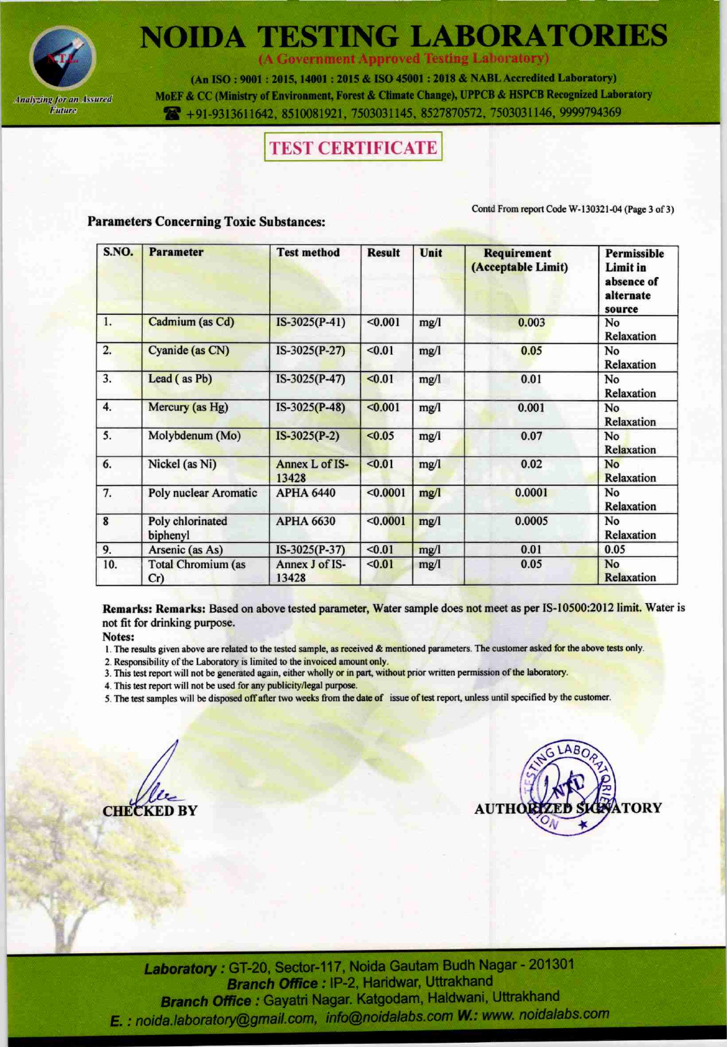

(A Government Approved Testing Laboratory)

(An ISO: 9001: 2015, 14001: 2015 & ISO 45001: 2018 & NABL Accredited Laboratory) MoEF & CC (Ministry of Environment, Forest & Climate Change), UPPCB & HSPCB Recognized Laboratory 7 +91-9313611642, 8510081921, 7503031145, 8527870572, 7503031146, 9999794369

## **TEST CERTIFICATE**

Contd From report Code W-130321-04 (Page 3 of 3)

### **Parameters Concerning Toxic Substances:**

| S.NO. | <b>Parameter</b>                 | <b>Test method</b>      | <b>Result</b> | Unit | Requirement<br>(Acceptable Limit) | Permissible<br>Limit in<br>absence of<br>alternate<br>source |
|-------|----------------------------------|-------------------------|---------------|------|-----------------------------------|--------------------------------------------------------------|
| 1.    | Cadmium (as Cd)                  | $IS-3025(P-41)$         | < 0.001       | mg/l | 0.003                             | No<br>Relaxation                                             |
| 2.    | Cyanide (as CN)                  | $IS-3025(P-27)$         | < 0.01        | mg/l | 0.05                              | No<br>Relaxation                                             |
| 3.    | Lead (as Pb)                     | IS-3025(P-47)           | < 0.01        | mg/l | 0.01                              | No<br>Relaxation                                             |
| 4.    | Mercury (as Hg)                  | $IS-3025(P-48)$         | < 0.001       | mg/l | 0.001                             | No<br>Relaxation                                             |
| 5.    | Molybdenum (Mo)                  | $IS-3025(P-2)$          | < 0.05        | mg/l | 0.07                              | No<br>Relaxation                                             |
| 6.    | Nickel (as Ni)                   | Annex L of IS-<br>13428 | < 0.01        | mg/l | 0.02                              | No<br>Relaxation                                             |
| 7.    | Poly nuclear Aromatic            | <b>APHA 6440</b>        | < 0.0001      | mg/l | 0.0001                            | No<br>Relaxation                                             |
| 8     | Poly chlorinated<br>biphenyl     | <b>APHA 6630</b>        | < 0.0001      | mg/l | 0.0005                            | No<br>Relaxation                                             |
| 9.    | Arsenic (as As)                  | IS-3025(P-37)           | < 0.01        | mg/l | 0.01                              | 0.05                                                         |
| 10.   | <b>Total Chromium (as</b><br>Cr) | Annex J of IS-<br>13428 | < 0.01        | mg/l | 0.05                              | No<br>Relaxation                                             |

Remarks: Remarks: Based on above tested parameter, Water sample does not meet as per IS-10500:2012 limit. Water is not fit for drinking purpose.

Notes:

- 1. The results given above are related to the tested sample, as received & mentioned parameters. The customer asked for the above tests only.
- 2. Responsibility of the Laboratory is limited to the invoiced amount only.
- 3. This test report will not be generated again, either wholly or in part, without prior written permission of the laboratory.
- 4. This test report will not be used for any publicity/legal purpose.
- 5. The test samples will be disposed off after two weeks from the date of issue of test report, unless until specified by the customer.